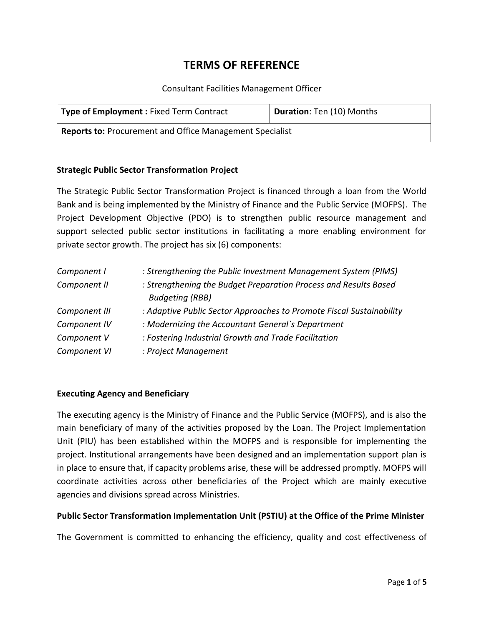# **TERMS OF REFERENCE**

Consultant Facilities Management Officer

| <b>Type of Employment: Fixed Term Contract</b>                  | Duration: Ten (10) Months |
|-----------------------------------------------------------------|---------------------------|
| <b>Reports to: Procurement and Office Management Specialist</b> |                           |

# **Strategic Public Sector Transformation Project**

The Strategic Public Sector Transformation Project is financed through a loan from the World Bank and is being implemented by the Ministry of Finance and the Public Service (MOFPS). The Project Development Objective (PDO) is to strengthen public resource management and support selected public sector institutions in facilitating a more enabling environment for private sector growth. The project has six (6) components:

| Component I   | : Strengthening the Public Investment Management System (PIMS)       |
|---------------|----------------------------------------------------------------------|
| Component II  | : Strengthening the Budget Preparation Process and Results Based     |
|               | <b>Budgeting (RBB)</b>                                               |
| Component III | : Adaptive Public Sector Approaches to Promote Fiscal Sustainability |
| Component IV  | : Modernizing the Accountant General's Department                    |
| Component V   | : Fostering Industrial Growth and Trade Facilitation                 |
| Component VI  | : Project Management                                                 |

# **Executing Agency and Beneficiary**

The executing agency is the Ministry of Finance and the Public Service (MOFPS), and is also the main beneficiary of many of the activities proposed by the Loan. The Project Implementation Unit (PIU) has been established within the MOFPS and is responsible for implementing the project. Institutional arrangements have been designed and an implementation support plan is in place to ensure that, if capacity problems arise, these will be addressed promptly. MOFPS will coordinate activities across other beneficiaries of the Project which are mainly executive agencies and divisions spread across Ministries.

# **Public Sector Transformation Implementation Unit (PSTIU) at the Office of the Prime Minister**

The Government is committed to enhancing the efficiency, quality and cost effectiveness of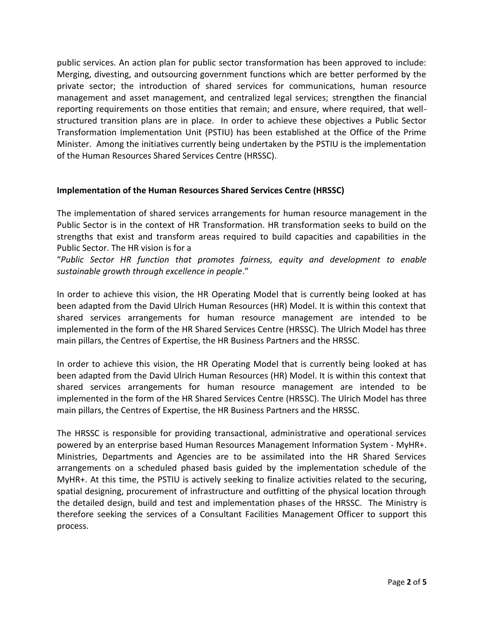public services. An action plan for public sector transformation has been approved to include: Merging, divesting, and outsourcing government functions which are better performed by the private sector; the introduction of shared services for communications, human resource management and asset management, and centralized legal services; strengthen the financial reporting requirements on those entities that remain; and ensure, where required, that well structured transition plans are in place. In order to achieve these objectives a Public Sector Transformation Implementation Unit (PSTIU) has been established at the Office of the Prime Minister. Among the initiatives currently being undertaken by the PSTIU is the implementation of the Human Resources Shared Services Centre (HRSSC).

# **Implementation of the Human Resources Shared Services Centre (HRSSC)**

The implementation of shared services arrangements for human resource management in the Public Sector is in the context of HR Transformation. HR transformation seeks to build on the strengths that exist and transform areas required to build capacities and capabilities in the Public Sector. The HR vision is for a

"*Public Sector HR function that promotes fairness, equity and development to enable sustainable growth through excellence in people*."

In order to achieve this vision, the HR Operating Model that is currently being looked at has been adapted from the David Ulrich Human Resources (HR) Model. It is within this context that shared services arrangements for human resource management are intended to be implemented in the form of the HR Shared Services Centre (HRSSC). The Ulrich Model has three main pillars, the Centres of Expertise, the HR Business Partners and the HRSSC.

In order to achieve this vision, the HR Operating Model that is currently being looked at has been adapted from the David Ulrich Human Resources (HR) Model. It is within this context that shared services arrangements for human resource management are intended to be implemented in the form of the HR Shared Services Centre (HRSSC). The Ulrich Model has three main pillars, the Centres of Expertise, the HR Business Partners and the HRSSC.

The HRSSC is responsible for providing transactional, administrative and operational services powered by an enterprise based Human Resources Management Information System - MyHR+. Ministries, Departments and Agencies are to be assimilated into the HR Shared Services arrangements on a scheduled phased basis guided by the implementation schedule of the MyHR+. At this time, the PSTIU is actively seeking to finalize activities related to the securing, spatial designing, procurement of infrastructure and outfitting of the physical location through the detailed design, build and test and implementation phases of the HRSSC. The Ministry is therefore seeking the services of a Consultant Facilities Management Officer to support this process.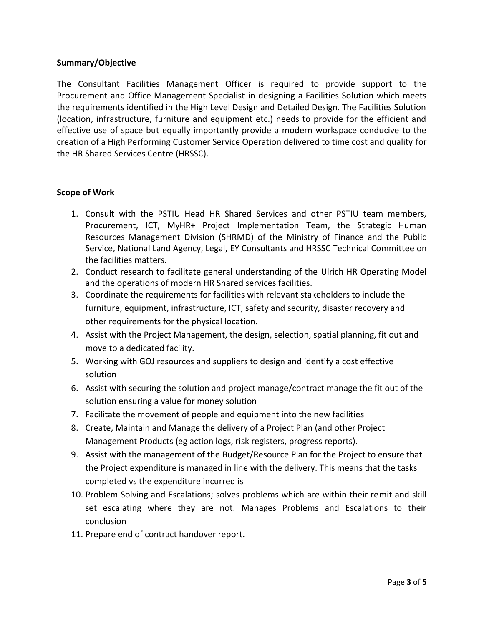# **Summary/Objective**

The Consultant Facilities Management Officer is required to provide support to the Procurement and Office Management Specialist in designing a Facilities Solution which meets the requirements identified in the High Level Design and Detailed Design. The Facilities Solution (location, infrastructure, furniture and equipment etc.) needs to provide for the efficient and effective use of space but equally importantly provide a modern workspace conducive to the creation of a High Performing Customer Service Operation delivered to time cost and quality for the HR Shared Services Centre (HRSSC).

### **Scope of Work**

- 1. Consult with the PSTIU Head HR Shared Services and other PSTIU team members, Procurement, ICT, MyHR+ Project Implementation Team, the Strategic Human Resources Management Division (SHRMD) of the Ministry of Finance and the Public Service, National Land Agency, Legal, EY Consultants and HRSSC Technical Committee on the facilities matters.
- 2. Conduct research to facilitate general understanding of the Ulrich HR Operating Model and the operations of modern HR Shared services facilities.
- 3. Coordinate the requirements for facilities with relevant stakeholders to include the furniture, equipment, infrastructure, ICT, safety and security, disaster recovery and other requirements for the physical location.
- 4. Assist with the Project Management, the design, selection, spatial planning, fit out and move to a dedicated facility.
- 5. Working with GOJ resources and suppliers to design and identify a cost effective solution
- 6. Assist with securing the solution and project manage/contract manage the fit out of the solution ensuring a value for money solution
- 7. Facilitate the movement of people and equipment into the new facilities
- 8. Create, Maintain and Manage the delivery of a Project Plan (and other Project Management Products (eg action logs, risk registers, progress reports).
- 9. Assist with the management of the Budget/Resource Plan for the Project to ensure that the Project expenditure is managed in line with the delivery. This means that the tasks completed vs the expenditure incurred is
- 10. Problem Solving and Escalations; solves problems which are within their remit and skill set escalating where they are not. Manages Problems and Escalations to their conclusion
- 11. Prepare end of contract handover report.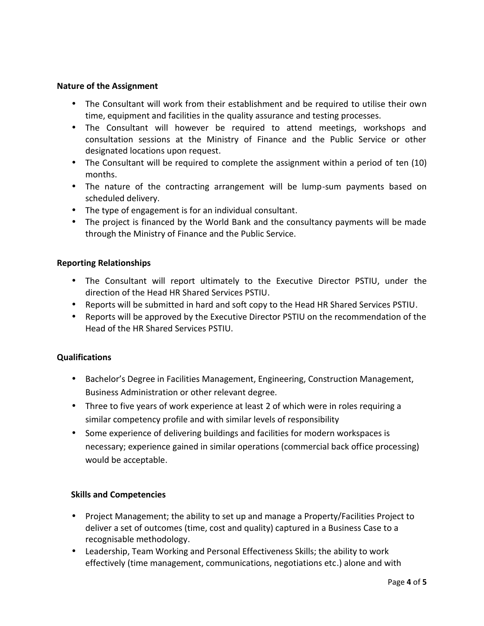### **Nature of the Assignment**

- The Consultant will work from their establishment and be required to utilise their own time, equipment and facilities in the quality assurance and testing processes.
- The Consultant will however be required to attend meetings, workshops and consultation sessions at the Ministry of Finance and the Public Service or other designated locations upon request.
- The Consultant will be required to complete the assignment within a period of ten (10) months.
- The nature of the contracting arrangement will be lump-sum payments based on scheduled delivery.
- The type of engagement is for an individual consultant.
- The project is financed by the World Bank and the consultancy payments will be made through the Ministry of Finance and the Public Service.

# **Reporting Relationships**

- The Consultant will report ultimately to the Executive Director PSTIU, under the direction of the Head HR Shared Services PSTIU.
- Reports will be submitted in hard and soft copy to the Head HR Shared Services PSTIU.
- Reports will be approved by the Executive Director PSTIU on the recommendation of the Head of the HR Shared Services PSTIU.

# **Qualifications**

- Bachelor's Degree in Facilities Management, Engineering, Construction Management, Business Administration or other relevant degree.
- Three to five years of work experience at least 2 of which were in roles requiring a similar competency profile and with similar levels of responsibility
- Some experience of delivering buildings and facilities for modern workspaces is necessary; experience gained in similar operations (commercial back office processing) would be acceptable.

# **Skills and Competencies**

- Project Management; the ability to set up and manage a Property/Facilities Project to deliver a set of outcomes (time, cost and quality) captured in a Business Case to a recognisable methodology.
- Leadership, Team Working and Personal Effectiveness Skills; the ability to work effectively (time management, communications, negotiations etc.) alone and with